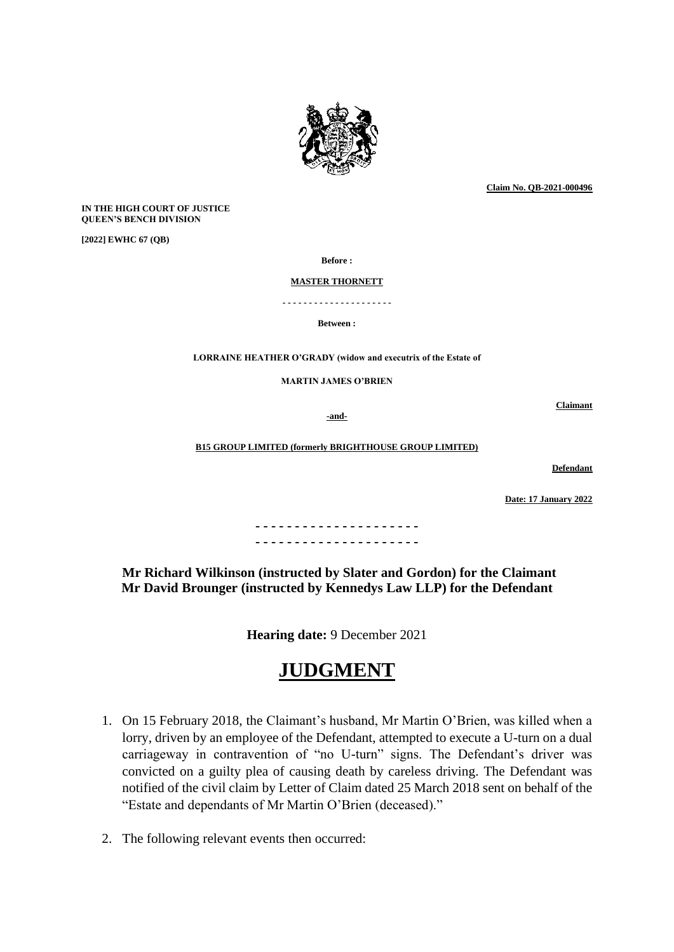

**Claim No. QB-2021-000496**

**IN THE HIGH COURT OF JUSTICE QUEEN'S BENCH DIVISION**

**[2022] EWHC 67 (QB)** 

**Before :**

**MASTER THORNETT**

**- - - - - - - - - - - - - - - - - - - - -**

**Between :**

**LORRAINE HEATHER O'GRADY (widow and executrix of the Estate of** 

**MARTIN JAMES O'BRIEN**

**-and-**

**Claimant**

**B15 GROUP LIMITED (formerly BRIGHTHOUSE GROUP LIMITED)**

**Defendant** 

**Date: 17 January 2022**

**- - - - - - - - - - - - - - - - - - - - - - - - - - - - - - - - - - - - - - - - - -**

**Mr Richard Wilkinson (instructed by Slater and Gordon) for the Claimant Mr David Brounger (instructed by Kennedys Law LLP) for the Defendant**

**Hearing date:** 9 December 2021

## **JUDGMENT**

- 1. On 15 February 2018, the Claimant's husband, Mr Martin O'Brien, was killed when a lorry, driven by an employee of the Defendant, attempted to execute a U-turn on a dual carriageway in contravention of "no U-turn" signs. The Defendant's driver was convicted on a guilty plea of causing death by careless driving. The Defendant was notified of the civil claim by Letter of Claim dated 25 March 2018 sent on behalf of the "Estate and dependants of Mr Martin O'Brien (deceased)."
- 2. The following relevant events then occurred: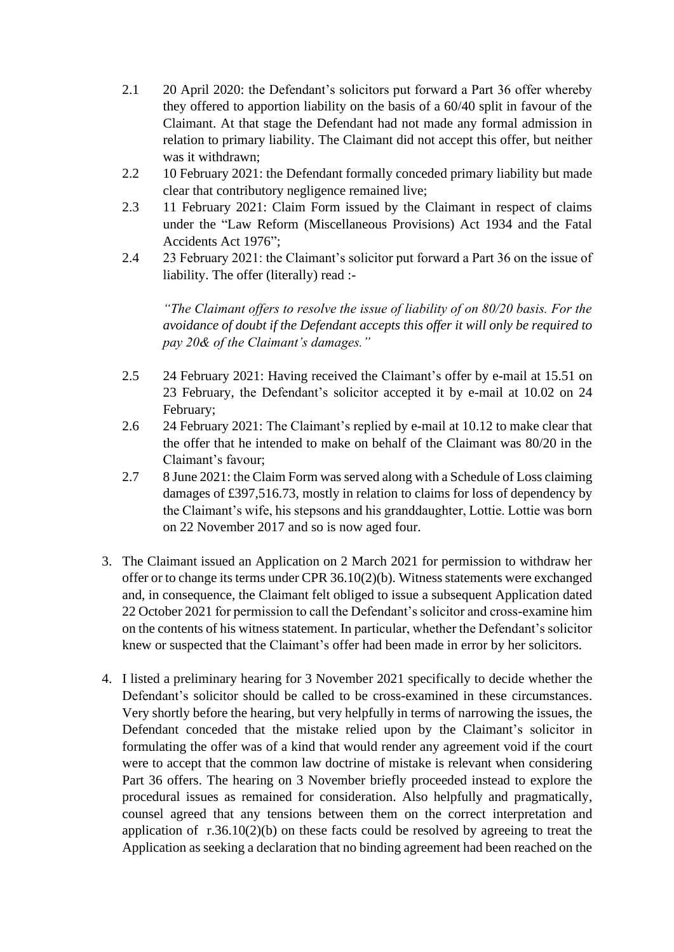- 2.1 20 April 2020: the Defendant's solicitors put forward a Part 36 offer whereby they offered to apportion liability on the basis of a 60/40 split in favour of the Claimant. At that stage the Defendant had not made any formal admission in relation to primary liability. The Claimant did not accept this offer, but neither was it withdrawn;
- 2.2 10 February 2021: the Defendant formally conceded primary liability but made clear that contributory negligence remained live;
- 2.3 11 February 2021: Claim Form issued by the Claimant in respect of claims under the "Law Reform (Miscellaneous Provisions) Act 1934 and the Fatal Accidents Act 1976";
- 2.4 23 February 2021: the Claimant's solicitor put forward a Part 36 on the issue of liability. The offer (literally) read :-

*"The Claimant offers to resolve the issue of liability of on 80/20 basis. For the avoidance of doubt if the Defendant accepts this offer it will only be required to pay 20& of the Claimant's damages."* 

- 2.5 24 February 2021: Having received the Claimant's offer by e-mail at 15.51 on 23 February, the Defendant's solicitor accepted it by e-mail at 10.02 on 24 February;
- 2.6 24 February 2021: The Claimant's replied by e-mail at 10.12 to make clear that the offer that he intended to make on behalf of the Claimant was 80/20 in the Claimant's favour;
- 2.7 8 June 2021: the Claim Form was served along with a Schedule of Loss claiming damages of £397,516.73, mostly in relation to claims for loss of dependency by the Claimant's wife, his stepsons and his granddaughter, Lottie. Lottie was born on 22 November 2017 and so is now aged four.
- 3. The Claimant issued an Application on 2 March 2021 for permission to withdraw her offer or to change its terms under CPR 36.10(2)(b). Witness statements were exchanged and, in consequence, the Claimant felt obliged to issue a subsequent Application dated 22 October 2021 for permission to call the Defendant's solicitor and cross-examine him on the contents of his witness statement. In particular, whether the Defendant's solicitor knew or suspected that the Claimant's offer had been made in error by her solicitors.
- 4. I listed a preliminary hearing for 3 November 2021 specifically to decide whether the Defendant's solicitor should be called to be cross-examined in these circumstances. Very shortly before the hearing, but very helpfully in terms of narrowing the issues, the Defendant conceded that the mistake relied upon by the Claimant's solicitor in formulating the offer was of a kind that would render any agreement void if the court were to accept that the common law doctrine of mistake is relevant when considering Part 36 offers. The hearing on 3 November briefly proceeded instead to explore the procedural issues as remained for consideration. Also helpfully and pragmatically, counsel agreed that any tensions between them on the correct interpretation and application of r.36.10(2)(b) on these facts could be resolved by agreeing to treat the Application as seeking a declaration that no binding agreement had been reached on the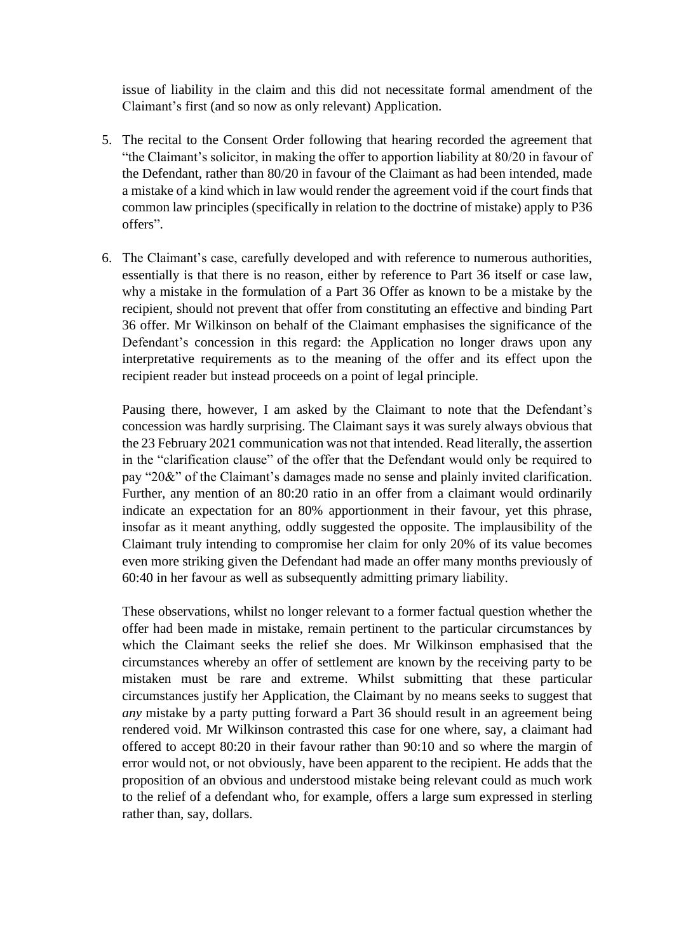issue of liability in the claim and this did not necessitate formal amendment of the Claimant's first (and so now as only relevant) Application.

- 5. The recital to the Consent Order following that hearing recorded the agreement that "the Claimant's solicitor, in making the offer to apportion liability at 80/20 in favour of the Defendant, rather than 80/20 in favour of the Claimant as had been intended, made a mistake of a kind which in law would render the agreement void if the court finds that common law principles (specifically in relation to the doctrine of mistake) apply to P36 offers".
- 6. The Claimant's case, carefully developed and with reference to numerous authorities, essentially is that there is no reason, either by reference to Part 36 itself or case law, why a mistake in the formulation of a Part 36 Offer as known to be a mistake by the recipient, should not prevent that offer from constituting an effective and binding Part 36 offer. Mr Wilkinson on behalf of the Claimant emphasises the significance of the Defendant's concession in this regard: the Application no longer draws upon any interpretative requirements as to the meaning of the offer and its effect upon the recipient reader but instead proceeds on a point of legal principle.

Pausing there, however, I am asked by the Claimant to note that the Defendant's concession was hardly surprising. The Claimant says it was surely always obvious that the 23 February 2021 communication was not that intended. Read literally, the assertion in the "clarification clause" of the offer that the Defendant would only be required to pay "20&" of the Claimant's damages made no sense and plainly invited clarification. Further, any mention of an 80:20 ratio in an offer from a claimant would ordinarily indicate an expectation for an 80% apportionment in their favour, yet this phrase, insofar as it meant anything, oddly suggested the opposite. The implausibility of the Claimant truly intending to compromise her claim for only 20% of its value becomes even more striking given the Defendant had made an offer many months previously of 60:40 in her favour as well as subsequently admitting primary liability.

These observations, whilst no longer relevant to a former factual question whether the offer had been made in mistake, remain pertinent to the particular circumstances by which the Claimant seeks the relief she does. Mr Wilkinson emphasised that the circumstances whereby an offer of settlement are known by the receiving party to be mistaken must be rare and extreme. Whilst submitting that these particular circumstances justify her Application, the Claimant by no means seeks to suggest that *any* mistake by a party putting forward a Part 36 should result in an agreement being rendered void. Mr Wilkinson contrasted this case for one where, say, a claimant had offered to accept 80:20 in their favour rather than 90:10 and so where the margin of error would not, or not obviously, have been apparent to the recipient. He adds that the proposition of an obvious and understood mistake being relevant could as much work to the relief of a defendant who, for example, offers a large sum expressed in sterling rather than, say, dollars.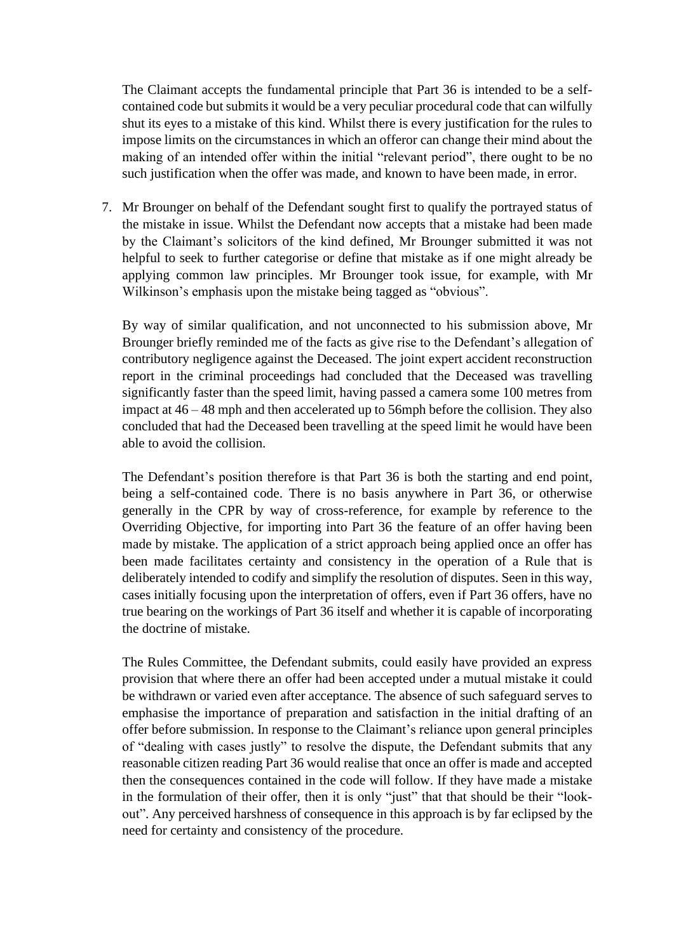The Claimant accepts the fundamental principle that Part 36 is intended to be a selfcontained code but submits it would be a very peculiar procedural code that can wilfully shut its eyes to a mistake of this kind. Whilst there is every justification for the rules to impose limits on the circumstances in which an offeror can change their mind about the making of an intended offer within the initial "relevant period", there ought to be no such justification when the offer was made, and known to have been made, in error.

7. Mr Brounger on behalf of the Defendant sought first to qualify the portrayed status of the mistake in issue. Whilst the Defendant now accepts that a mistake had been made by the Claimant's solicitors of the kind defined, Mr Brounger submitted it was not helpful to seek to further categorise or define that mistake as if one might already be applying common law principles. Mr Brounger took issue, for example, with Mr Wilkinson's emphasis upon the mistake being tagged as "obvious".

By way of similar qualification, and not unconnected to his submission above, Mr Brounger briefly reminded me of the facts as give rise to the Defendant's allegation of contributory negligence against the Deceased. The joint expert accident reconstruction report in the criminal proceedings had concluded that the Deceased was travelling significantly faster than the speed limit, having passed a camera some 100 metres from impact at 46 – 48 mph and then accelerated up to 56mph before the collision. They also concluded that had the Deceased been travelling at the speed limit he would have been able to avoid the collision.

The Defendant's position therefore is that Part 36 is both the starting and end point, being a self-contained code. There is no basis anywhere in Part 36, or otherwise generally in the CPR by way of cross-reference, for example by reference to the Overriding Objective, for importing into Part 36 the feature of an offer having been made by mistake. The application of a strict approach being applied once an offer has been made facilitates certainty and consistency in the operation of a Rule that is deliberately intended to codify and simplify the resolution of disputes. Seen in this way, cases initially focusing upon the interpretation of offers, even if Part 36 offers, have no true bearing on the workings of Part 36 itself and whether it is capable of incorporating the doctrine of mistake.

The Rules Committee, the Defendant submits, could easily have provided an express provision that where there an offer had been accepted under a mutual mistake it could be withdrawn or varied even after acceptance. The absence of such safeguard serves to emphasise the importance of preparation and satisfaction in the initial drafting of an offer before submission. In response to the Claimant's reliance upon general principles of "dealing with cases justly" to resolve the dispute, the Defendant submits that any reasonable citizen reading Part 36 would realise that once an offer is made and accepted then the consequences contained in the code will follow. If they have made a mistake in the formulation of their offer, then it is only "just" that that should be their "lookout". Any perceived harshness of consequence in this approach is by far eclipsed by the need for certainty and consistency of the procedure.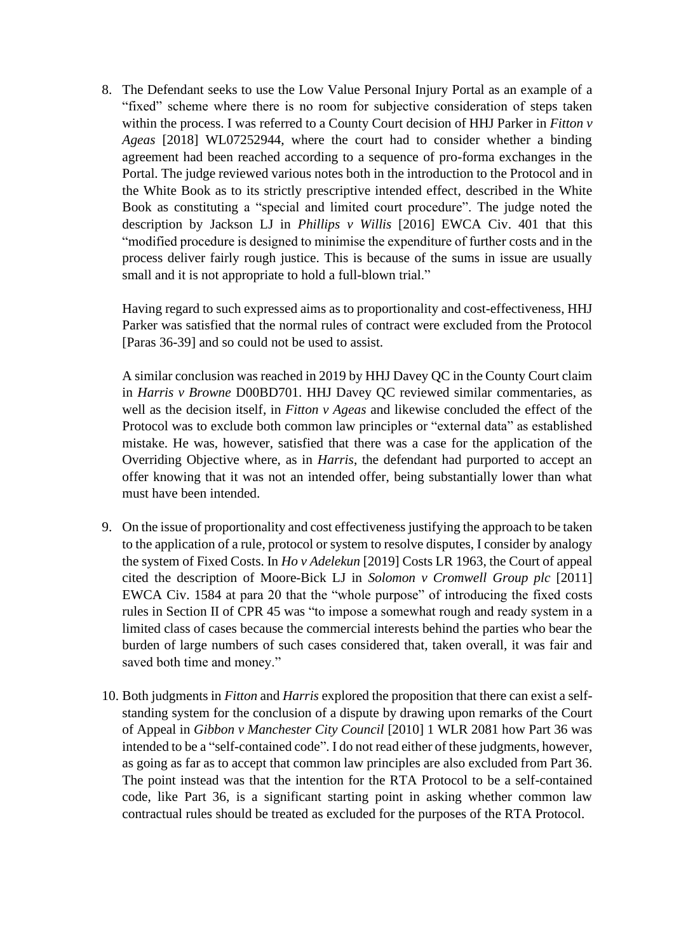8. The Defendant seeks to use the Low Value Personal Injury Portal as an example of a "fixed" scheme where there is no room for subjective consideration of steps taken within the process. I was referred to a County Court decision of HHJ Parker in *Fitton v Ageas* [2018] WL07252944, where the court had to consider whether a binding agreement had been reached according to a sequence of pro-forma exchanges in the Portal. The judge reviewed various notes both in the introduction to the Protocol and in the White Book as to its strictly prescriptive intended effect, described in the White Book as constituting a "special and limited court procedure". The judge noted the description by Jackson LJ in *Phillips v Willis* [2016] EWCA Civ. 401 that this "modified procedure is designed to minimise the expenditure of further costs and in the process deliver fairly rough justice. This is because of the sums in issue are usually small and it is not appropriate to hold a full-blown trial."

Having regard to such expressed aims as to proportionality and cost-effectiveness, HHJ Parker was satisfied that the normal rules of contract were excluded from the Protocol [Paras 36-39] and so could not be used to assist.

A similar conclusion was reached in 2019 by HHJ Davey QC in the County Court claim in *Harris v Browne* D00BD701. HHJ Davey QC reviewed similar commentaries, as well as the decision itself, in *Fitton v Ageas* and likewise concluded the effect of the Protocol was to exclude both common law principles or "external data" as established mistake. He was, however, satisfied that there was a case for the application of the Overriding Objective where, as in *Harris*, the defendant had purported to accept an offer knowing that it was not an intended offer, being substantially lower than what must have been intended.

- 9. On the issue of proportionality and cost effectiveness justifying the approach to be taken to the application of a rule, protocol or system to resolve disputes, I consider by analogy the system of Fixed Costs. In *Ho v Adelekun* [2019] Costs LR 1963, the Court of appeal cited the description of Moore-Bick LJ in *Solomon v Cromwell Group plc* [2011] EWCA Civ. 1584 at para 20 that the "whole purpose" of introducing the fixed costs rules in Section II of CPR 45 was "to impose a somewhat rough and ready system in a limited class of cases because the commercial interests behind the parties who bear the burden of large numbers of such cases considered that, taken overall, it was fair and saved both time and money."
- 10. Both judgments in *Fitton* and *Harris* explored the proposition that there can exist a selfstanding system for the conclusion of a dispute by drawing upon remarks of the Court of Appeal in *Gibbon v Manchester City Council* [2010] 1 WLR 2081 how Part 36 was intended to be a "self-contained code". I do not read either of these judgments, however, as going as far as to accept that common law principles are also excluded from Part 36. The point instead was that the intention for the RTA Protocol to be a self-contained code, like Part 36, is a significant starting point in asking whether common law contractual rules should be treated as excluded for the purposes of the RTA Protocol.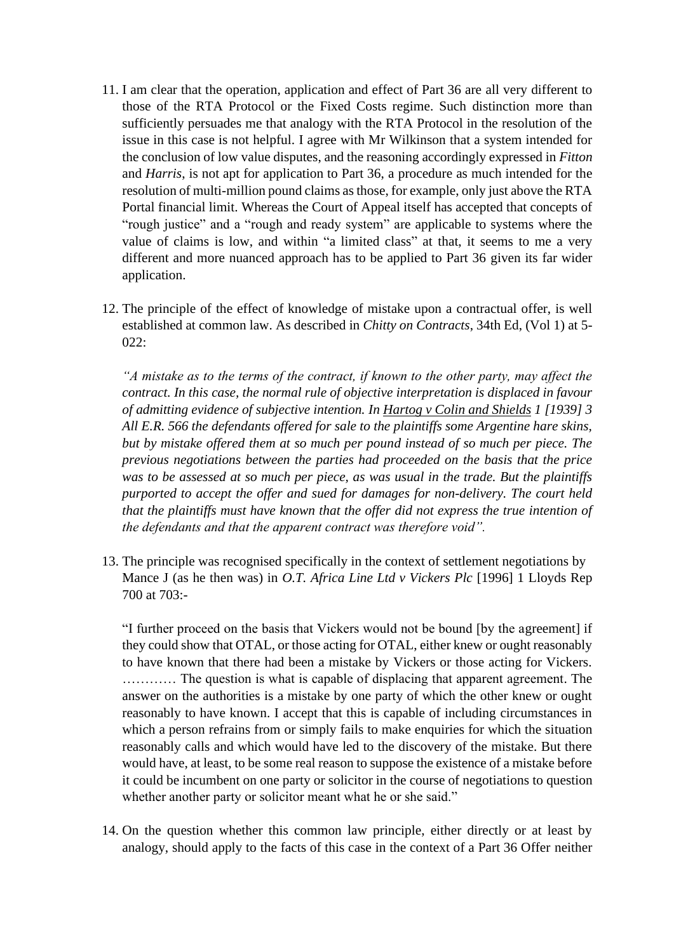- 11. I am clear that the operation, application and effect of Part 36 are all very different to those of the RTA Protocol or the Fixed Costs regime. Such distinction more than sufficiently persuades me that analogy with the RTA Protocol in the resolution of the issue in this case is not helpful. I agree with Mr Wilkinson that a system intended for the conclusion of low value disputes, and the reasoning accordingly expressed in *Fitton* and *Harris*, is not apt for application to Part 36, a procedure as much intended for the resolution of multi-million pound claims as those, for example, only just above the RTA Portal financial limit. Whereas the Court of Appeal itself has accepted that concepts of "rough justice" and a "rough and ready system" are applicable to systems where the value of claims is low, and within "a limited class" at that, it seems to me a very different and more nuanced approach has to be applied to Part 36 given its far wider application.
- 12. The principle of the effect of knowledge of mistake upon a contractual offer, is well established at common law. As described in *Chitty on Contracts*, 34th Ed, (Vol 1) at 5-  $022:$

*"A mistake as to the terms of the contract, if known to the other party, may affect the contract. In this case, the normal rule of objective interpretation is displaced in favour of admitting evidence of subjective intention. In Hartog v Colin and Shields 1 [1939] 3 All E.R. 566 the defendants offered for sale to the plaintiffs some Argentine hare skins, but by mistake offered them at so much per pound instead of so much per piece. The previous negotiations between the parties had proceeded on the basis that the price was to be assessed at so much per piece, as was usual in the trade. But the plaintiffs purported to accept the offer and sued for damages for non-delivery. The court held that the plaintiffs must have known that the offer did not express the true intention of the defendants and that the apparent contract was therefore void".* 

13. The principle was recognised specifically in the context of settlement negotiations by Mance J (as he then was) in *O.T. Africa Line Ltd v Vickers Plc* [1996] 1 Lloyds Rep 700 at 703:-

"I further proceed on the basis that Vickers would not be bound [by the agreement] if they could show that OTAL, or those acting for OTAL, either knew or ought reasonably to have known that there had been a mistake by Vickers or those acting for Vickers. ………… The question is what is capable of displacing that apparent agreement. The answer on the authorities is a mistake by one party of which the other knew or ought reasonably to have known. I accept that this is capable of including circumstances in which a person refrains from or simply fails to make enquiries for which the situation reasonably calls and which would have led to the discovery of the mistake. But there would have, at least, to be some real reason to suppose the existence of a mistake before it could be incumbent on one party or solicitor in the course of negotiations to question whether another party or solicitor meant what he or she said."

14. On the question whether this common law principle, either directly or at least by analogy, should apply to the facts of this case in the context of a Part 36 Offer neither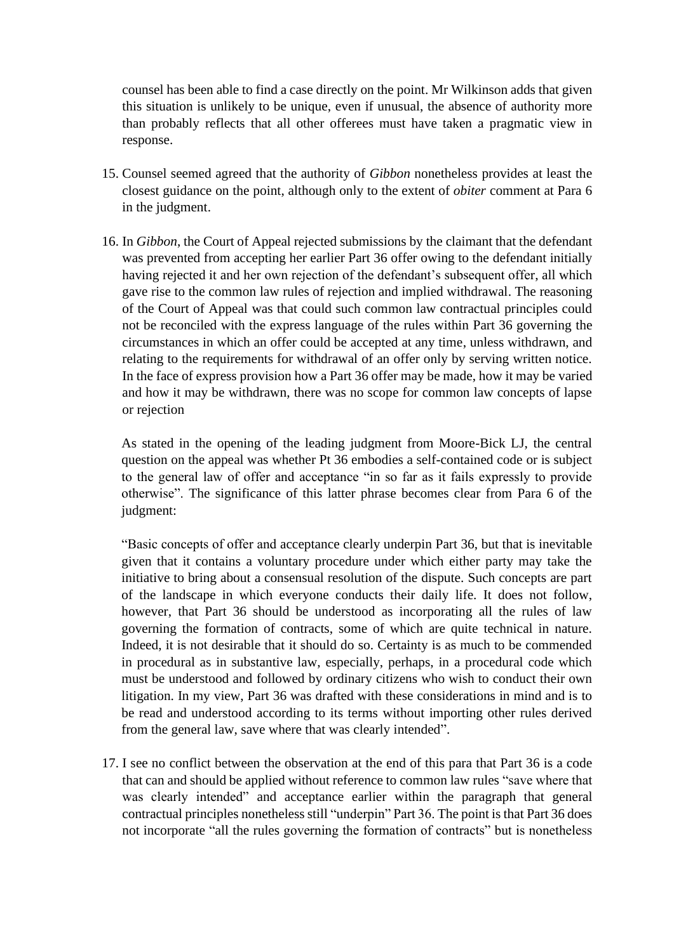counsel has been able to find a case directly on the point. Mr Wilkinson adds that given this situation is unlikely to be unique, even if unusual, the absence of authority more than probably reflects that all other offerees must have taken a pragmatic view in response.

- 15. Counsel seemed agreed that the authority of *Gibbon* nonetheless provides at least the closest guidance on the point, although only to the extent of *obiter* comment at Para 6 in the judgment.
- 16. In *Gibbon*, the Court of Appeal rejected submissions by the claimant that the defendant was prevented from accepting her earlier Part 36 offer owing to the defendant initially having rejected it and her own rejection of the defendant's subsequent offer, all which gave rise to the common law rules of rejection and implied withdrawal. The reasoning of the Court of Appeal was that could such common law contractual principles could not be reconciled with the express language of the rules within Part 36 governing the circumstances in which an offer could be accepted at any time, unless withdrawn, and relating to the requirements for withdrawal of an offer only by serving written notice. In the face of express provision how a Part 36 offer may be made, how it may be varied and how it may be withdrawn, there was no scope for common law concepts of lapse or rejection

As stated in the opening of the leading judgment from Moore-Bick LJ, the central question on the appeal was whether Pt 36 embodies a self-contained code or is subject to the general law of offer and acceptance "in so far as it fails expressly to provide otherwise". The significance of this latter phrase becomes clear from Para 6 of the judgment:

"Basic concepts of offer and acceptance clearly underpin Part 36, but that is inevitable given that it contains a voluntary procedure under which either party may take the initiative to bring about a consensual resolution of the dispute. Such concepts are part of the landscape in which everyone conducts their daily life. It does not follow, however, that Part 36 should be understood as incorporating all the rules of law governing the formation of contracts, some of which are quite technical in nature. Indeed, it is not desirable that it should do so. Certainty is as much to be commended in procedural as in substantive law, especially, perhaps, in a procedural code which must be understood and followed by ordinary citizens who wish to conduct their own litigation. In my view, Part 36 was drafted with these considerations in mind and is to be read and understood according to its terms without importing other rules derived from the general law, save where that was clearly intended".

17. I see no conflict between the observation at the end of this para that Part 36 is a code that can and should be applied without reference to common law rules "save where that was clearly intended" and acceptance earlier within the paragraph that general contractual principles nonetheless still "underpin" Part 36. The point is that Part 36 does not incorporate "all the rules governing the formation of contracts" but is nonetheless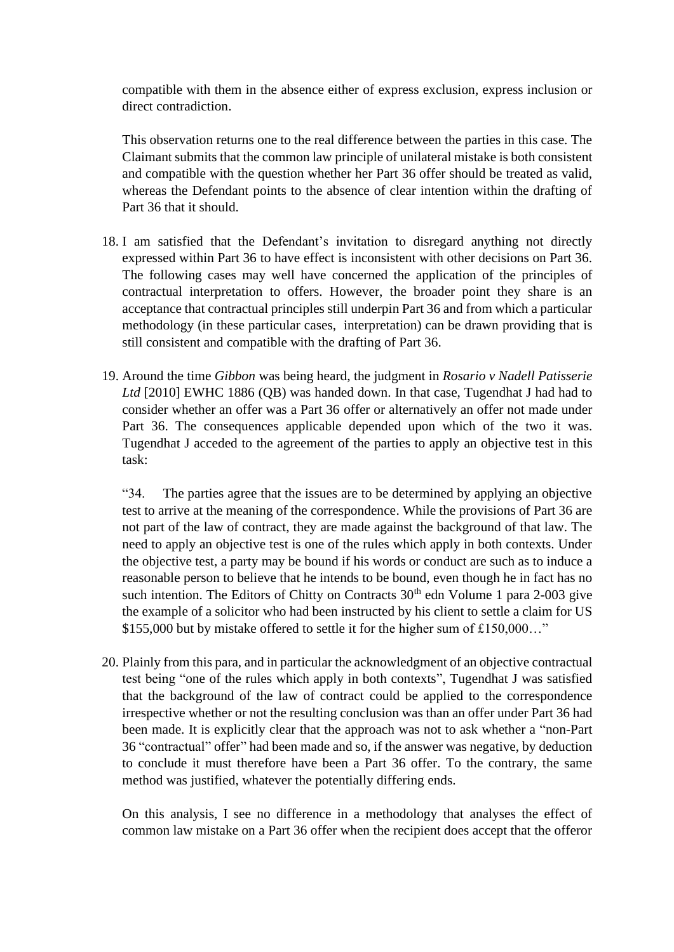compatible with them in the absence either of express exclusion, express inclusion or direct contradiction.

This observation returns one to the real difference between the parties in this case. The Claimant submits that the common law principle of unilateral mistake is both consistent and compatible with the question whether her Part 36 offer should be treated as valid, whereas the Defendant points to the absence of clear intention within the drafting of Part 36 that it should.

- 18. I am satisfied that the Defendant's invitation to disregard anything not directly expressed within Part 36 to have effect is inconsistent with other decisions on Part 36. The following cases may well have concerned the application of the principles of contractual interpretation to offers. However, the broader point they share is an acceptance that contractual principles still underpin Part 36 and from which a particular methodology (in these particular cases, interpretation) can be drawn providing that is still consistent and compatible with the drafting of Part 36.
- 19. Around the time *Gibbon* was being heard, the judgment in *Rosario v Nadell Patisserie Ltd* [2010] EWHC 1886 (QB) was handed down. In that case, Tugendhat J had had to consider whether an offer was a Part 36 offer or alternatively an offer not made under Part 36. The consequences applicable depended upon which of the two it was. Tugendhat J acceded to the agreement of the parties to apply an objective test in this task:

"34. The parties agree that the issues are to be determined by applying an objective test to arrive at the meaning of the correspondence. While the provisions of Part 36 are not part of the law of contract, they are made against the background of that law. The need to apply an objective test is one of the rules which apply in both contexts. Under the objective test, a party may be bound if his words or conduct are such as to induce a reasonable person to believe that he intends to be bound, even though he in fact has no such intention. The Editors of Chitty on Contracts  $30<sup>th</sup>$  edn Volume 1 para 2-003 give the example of a solicitor who had been instructed by his client to settle a claim for US \$155,000 but by mistake offered to settle it for the higher sum of £150,000…"

20. Plainly from this para, and in particular the acknowledgment of an objective contractual test being "one of the rules which apply in both contexts", Tugendhat J was satisfied that the background of the law of contract could be applied to the correspondence irrespective whether or not the resulting conclusion was than an offer under Part 36 had been made. It is explicitly clear that the approach was not to ask whether a "non-Part 36 "contractual" offer" had been made and so, if the answer was negative, by deduction to conclude it must therefore have been a Part 36 offer. To the contrary, the same method was justified, whatever the potentially differing ends.

On this analysis, I see no difference in a methodology that analyses the effect of common law mistake on a Part 36 offer when the recipient does accept that the offeror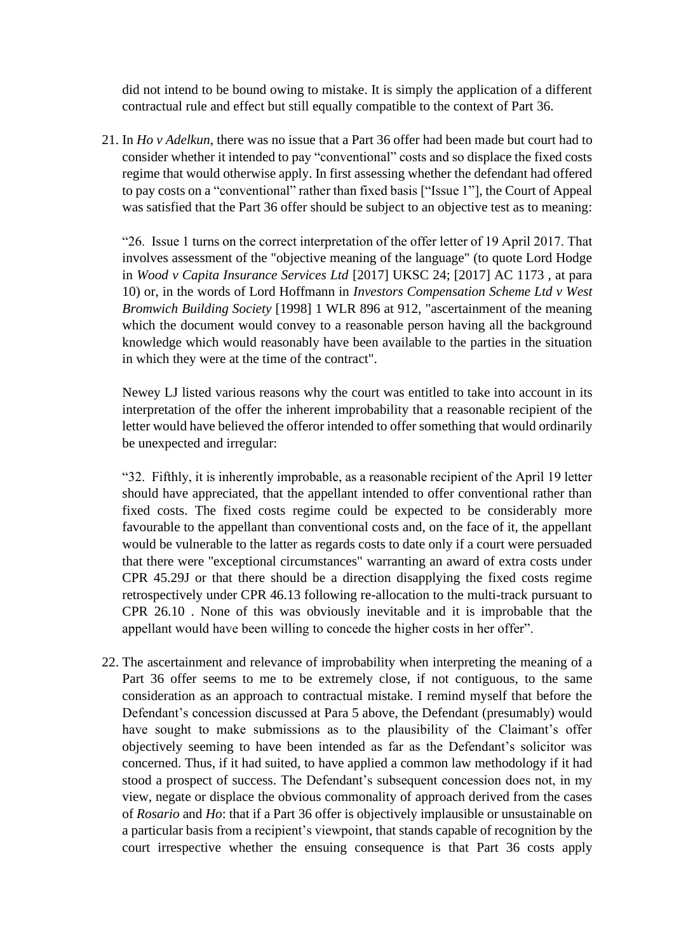did not intend to be bound owing to mistake. It is simply the application of a different contractual rule and effect but still equally compatible to the context of Part 36.

21. In *Ho v Adelkun*, there was no issue that a Part 36 offer had been made but court had to consider whether it intended to pay "conventional" costs and so displace the fixed costs regime that would otherwise apply. In first assessing whether the defendant had offered to pay costs on a "conventional" rather than fixed basis ["Issue 1"], the Court of Appeal was satisfied that the Part 36 offer should be subject to an objective test as to meaning:

"26. Issue 1 turns on the correct interpretation of the offer letter of 19 April 2017. That involves assessment of the "objective meaning of the language" (to quote Lord Hodge in *Wood v Capita Insurance Services Ltd* [2017] UKSC 24; [2017] AC 1173 , at para 10) or, in the words of Lord Hoffmann in *Investors Compensation Scheme Ltd v West Bromwich Building Society* [1998] 1 WLR 896 at 912, "ascertainment of the meaning which the document would convey to a reasonable person having all the background knowledge which would reasonably have been available to the parties in the situation in which they were at the time of the contract".

Newey LJ listed various reasons why the court was entitled to take into account in its interpretation of the offer the inherent improbability that a reasonable recipient of the letter would have believed the offeror intended to offer something that would ordinarily be unexpected and irregular:

"32. Fifthly, it is inherently improbable, as a reasonable recipient of the April 19 letter should have appreciated, that the appellant intended to offer conventional rather than fixed costs. The fixed costs regime could be expected to be considerably more favourable to the appellant than conventional costs and, on the face of it, the appellant would be vulnerable to the latter as regards costs to date only if a court were persuaded that there were "exceptional circumstances" warranting an award of extra costs under CPR 45.29J or that there should be a direction disapplying the fixed costs regime retrospectively under CPR 46.13 following re-allocation to the multi-track pursuant to CPR 26.10 . None of this was obviously inevitable and it is improbable that the appellant would have been willing to concede the higher costs in her offer".

22. The ascertainment and relevance of improbability when interpreting the meaning of a Part 36 offer seems to me to be extremely close, if not contiguous, to the same consideration as an approach to contractual mistake. I remind myself that before the Defendant's concession discussed at Para 5 above, the Defendant (presumably) would have sought to make submissions as to the plausibility of the Claimant's offer objectively seeming to have been intended as far as the Defendant's solicitor was concerned. Thus, if it had suited, to have applied a common law methodology if it had stood a prospect of success. The Defendant's subsequent concession does not, in my view, negate or displace the obvious commonality of approach derived from the cases of *Rosario* and *Ho*: that if a Part 36 offer is objectively implausible or unsustainable on a particular basis from a recipient's viewpoint, that stands capable of recognition by the court irrespective whether the ensuing consequence is that Part 36 costs apply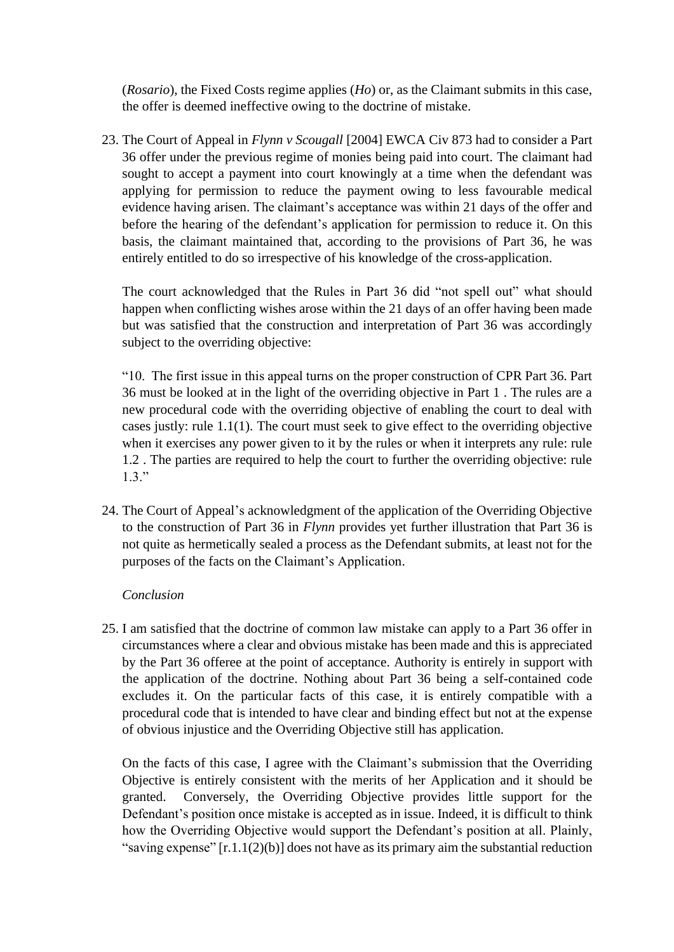(*Rosario*), the Fixed Costs regime applies (*Ho*) or, as the Claimant submits in this case, the offer is deemed ineffective owing to the doctrine of mistake.

23. The Court of Appeal in *Flynn v Scougall* [2004] EWCA Civ 873 had to consider a Part 36 offer under the previous regime of monies being paid into court. The claimant had sought to accept a payment into court knowingly at a time when the defendant was applying for permission to reduce the payment owing to less favourable medical evidence having arisen. The claimant's acceptance was within 21 days of the offer and before the hearing of the defendant's application for permission to reduce it. On this basis, the claimant maintained that, according to the provisions of Part 36, he was entirely entitled to do so irrespective of his knowledge of the cross-application.

The court acknowledged that the Rules in Part 36 did "not spell out" what should happen when conflicting wishes arose within the 21 days of an offer having been made but was satisfied that the construction and interpretation of Part 36 was accordingly subject to the overriding objective:

"10. The first issue in this appeal turns on the proper construction of CPR Part 36. Part 36 must be looked at in the light of the overriding objective in Part 1 . The rules are a new procedural code with the overriding objective of enabling the court to deal with cases justly: rule 1.1(1). The court must seek to give effect to the overriding objective when it exercises any power given to it by the rules or when it interprets any rule: rule 1.2 . The parties are required to help the court to further the overriding objective: rule  $1.3.$ "

24. The Court of Appeal's acknowledgment of the application of the Overriding Objective to the construction of Part 36 in *Flynn* provides yet further illustration that Part 36 is not quite as hermetically sealed a process as the Defendant submits, at least not for the purposes of the facts on the Claimant's Application.

## *Conclusion*

25. I am satisfied that the doctrine of common law mistake can apply to a Part 36 offer in circumstances where a clear and obvious mistake has been made and this is appreciated by the Part 36 offeree at the point of acceptance. Authority is entirely in support with the application of the doctrine. Nothing about Part 36 being a self-contained code excludes it. On the particular facts of this case, it is entirely compatible with a procedural code that is intended to have clear and binding effect but not at the expense of obvious injustice and the Overriding Objective still has application.

On the facts of this case, I agree with the Claimant's submission that the Overriding Objective is entirely consistent with the merits of her Application and it should be granted. Conversely, the Overriding Objective provides little support for the Defendant's position once mistake is accepted as in issue. Indeed, it is difficult to think how the Overriding Objective would support the Defendant's position at all. Plainly, "saving expense" [r.1.1(2)(b)] does not have as its primary aim the substantial reduction